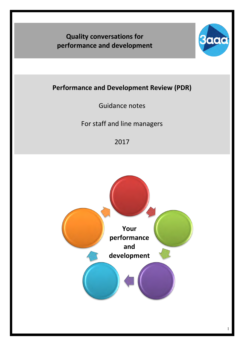# **Quality conversations for performance and development**



# **Performance and Development Review (PDR)**

Guidance notes

For staff and line managers

2017

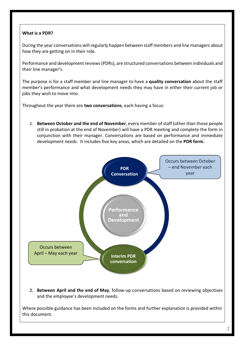# **What is a PDR?**

During the year conversations will regularly happen between staff members and line managers about how they are getting on in their role.

Performance and development reviews(PDRs), are structured conversations between individuals and their line manager's.

The purpose is for a staff member and line manager to have a **quality conversation** about the staff member's performance and what development needs they may have in either their current job or jobs they wish to move into.

Throughout the year there are **two conversations**, each having a focus:

1. **Between October and the end of November**, every member of staff (other than those people still in probation at the end of November) will have a PDR meeting and complete the form in conjunction with their manager. Conversations are based on performance and immediate development needs. It includes five key areas, which are detailed on the **PDR form.**



**2. Between April and the end of May**, follow-up conversations based on reviewing objectives and the employee's development needs.

Where possible guidance has been included on the forms and further explanation is provided within this document.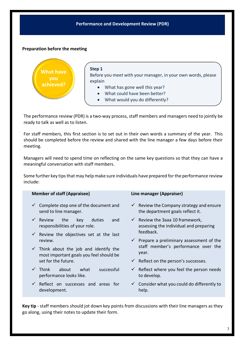#### **Performance and Development Review (PDR)**

#### **Preparation before the meeting**

ü



The performance review (PDR) is a two-way process, staff members and managers need to jointly be ready to talk as well as to listen.

For staff members, this first section is to set out in their own words a summary of the year. This should be completed before the review and shared with the line manager a few days before their meeting.

Managers will need to spend time on reflecting on the same key questions so that they can have a meaningful conversation with staff members.

Some further key tips that may help make sure individuals have prepared for the performance review include:

| <b>Member of staff (Appraisee)</b>                                                           | Line manager (Appraiser)                                                                   |  |  |  |
|----------------------------------------------------------------------------------------------|--------------------------------------------------------------------------------------------|--|--|--|
| $\checkmark$ Complete step one of the document and<br>send to line manager.                  | Review the Company strategy and ensure<br>$\checkmark$<br>the department goals reflect it. |  |  |  |
| $\checkmark$ Review<br>the<br>and<br>key<br>duties<br>responsibilities of your role.         | $\checkmark$ Review the 3aaa 10 framework,<br>assessing the individual and preparing       |  |  |  |
| $\checkmark$ Review the objectives set at the last                                           | feedback.                                                                                  |  |  |  |
| review.                                                                                      | $\checkmark$ Prepare a preliminary assessment of the                                       |  |  |  |
| $\checkmark$ Think about the job and identify the<br>most important goals you feel should be | staff member's performance over the<br>year.                                               |  |  |  |
| set for the future.                                                                          | $\checkmark$ Reflect on the person's successes.                                            |  |  |  |
| successful<br>$\checkmark$ Think<br>about<br>what<br>performance looks like.                 | $\checkmark$ Reflect where you feel the person needs<br>to develop.                        |  |  |  |
| $\checkmark$ Reflect on successes and areas for<br>development.                              | $\checkmark$ Consider what you could do differently to<br>help.                            |  |  |  |

**Key tip** - staff members should jot down key points from discussions with their line managers as they go along, using their notes to update their form.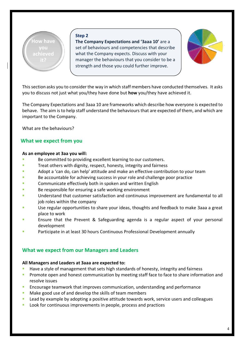

**The Company Expectations and '3aaa 10'** are a set of behaviours and competencies that describe what the Company expects. Discuss with your manager the behaviours that you consider to be a strength and those you could further improve.



This section asks you to consider the way in which staff members have conducted themselves. It asks you to discuss not just what you/they have done but **how** you/they have achieved it.

The Company Expectations and 3aaa 10 are frameworks which describe how everyone is expected to behave. The aim is to help staff understand the behaviours that are expected of them, and which are important to the Company.

What are the behaviours?

# **What we expect from you**

#### **As an employee at 3aa you will:**

- Be committed to providing excellent learning to our customers.
- **Treat others with dignity, respect, honesty, integrity and fairness**
- **Adopt a 'can do, can help' attitude and make an effective contribution to your team**
- Be accountable for achieving success in your role and challenge poor practice
- Communicate effectively both in spoken and written English
- Be responsible for ensuring a safe working environment
- § Understand that customer satisfaction and continuous improvement are fundamental to all job roles within the company
- **Use regular opportunities to share your ideas, thoughts and feedback to make 3aaa a great** place to work
- **EXECT** Ensure that the Prevent & Safeguarding agenda is a regular aspect of your personal development
- **Participate in at least 30 hours Continuous Professional Development annually**

# **What we expect from our Managers and Leaders**

#### **All Managers and Leaders at 3aaa are expected to:**

- Have a style of management that sets high standards of honesty, integrity and fairness
- **•** Promote open and honest communication by meeting staff face to face to share information and resolve issues
- **EXEL Encourage teamwork that improves communication, understanding and performance**
- Make good use of and develop the skills of team members
- Lead by example by adopting a positive attitude towards work, service users and colleagues
- Look for continuous improvements in people, process and practices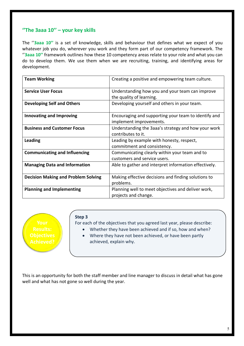# **''The 3aaa 10'' – your key skills**

The ''**3aaa 10''** is a set of knowledge, skills and behaviour that defines what we expect of you whatever job you do, wherever you work and they form part of our competency framework. The ''**3aaa 10''** framework outlines how these 10 competency areas relate to your role and what you can do to develop them. We use them when we are recruiting, training, and identifying areas for development.

| <b>Team Working</b>                        | Creating a positive and empowering team culture.                                |  |  |  |  |
|--------------------------------------------|---------------------------------------------------------------------------------|--|--|--|--|
| <b>Service User Focus</b>                  | Understanding how you and your team can improve<br>the quality of learning.     |  |  |  |  |
| <b>Developing Self and Others</b>          | Developing yourself and others in your team.                                    |  |  |  |  |
| <b>Innovating and Improving</b>            | Encouraging and supporting your team to identify and<br>implement improvements. |  |  |  |  |
| <b>Business and Customer Focus</b>         | Understanding the 3aaa's strategy and how your work<br>contributes to it.       |  |  |  |  |
| <b>Leading</b>                             | Leading by example with honesty, respect,<br>commitment and consistency.        |  |  |  |  |
| <b>Communicating and Influencing</b>       | Communicating clearly within your team and to<br>customers and service users.   |  |  |  |  |
| <b>Managing Data and Information</b>       | Able to gather and interpret information effectively.                           |  |  |  |  |
| <b>Decision Making and Problem Solving</b> | Making effective decisions and finding solutions to<br>problems.                |  |  |  |  |
| <b>Planning and Implementing</b>           | Planning well to meet objectives and deliver work,<br>projects and change.      |  |  |  |  |

#### **Step 3**

For each of the objectives that you agreed last year, please describe:

- Whether they have been achieved and if so, how and when?
- Where they have not been achieved, or have been partly achieved, explain why.

This is an opportunity for both the staff member and line manager to discuss in detail what has gone well and what has not gone so well during the year.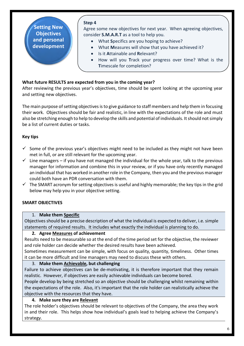**Setting New Objectives and personal development**

#### **Step 4**

Agree some new objectives for next year. When agreeing objectives, consider **S.M.A.R.T** as a tool to help you.

- What **S**pecifics are you hoping to achieve?
- What **M**easures will show that you have achieved it?
- Is it **A**ttainable and **R**elevant?
- How will you **T**rack your progress over time? What is the **T**imescale for completion?

# **What future RESULTS are expected from you in the coming year?**

After reviewing the previous year's objectives, time should be spent looking at the upcoming year and setting new objectives.

The main purpose of setting objectives is to give guidance to staff members and help them in focusing their work. Objectives should be fair and realistic, in line with the expectations of the role and must also be stretching enough to help to develop the skills and potential of individuals. It should not simply be a list of current duties or tasks.

# **Key tips**

- $\checkmark$  Some of the previous year's objectives might need to be included as they might not have been met in full, or are still relevant for the upcoming year.
- $\checkmark$  Line managers if you have not managed the individual for the whole year, talk to the previous manager for information and combine this in your review, or if you have only recently managed an individual that has worked in another role in the Company, then you and the previous manager could both have an PDR conversation with them.
- $\checkmark$  The SMART acronym for setting objectives is useful and highly memorable; the key tips in the grid below may help you in your objective setting.

# **SMART OBJECTIVES**

#### 1. **Make them Specific**

Objectives should be a precise description of what the individual is expected to deliver, i.e. simple statements of required results. It includes what exactly the individual is planning to do.

#### **2. Agree Measures of achievement**

Results need to be measurable so at the end of the time period set for the objective, the reviewer and role holder can decide whether the desired results have been achieved.

Sometimes measurement can be simple, with focus on quality, quantity, timeliness. Other times it can be more difficult and line managers may need to discuss these with others.

#### 3. **Make them Achievable, but challenging**

Failure to achieve objectives can be de-motivating, it is therefore important that they remain realistic. However, if objectives are easily achievable individuals can become bored.

People develop by being stretched so an objective should be challenging whilst remaining within the expectations of the role. Also, it's important that the role holder can realistically achieve the objective with the resources that they have.

# **4. Make sure they are Relevant**

The role holder's objectives should be relevant to objectives of the Company, the area they work in and their role. This helps show how individual's goals lead to helping achieve the Company's strategy.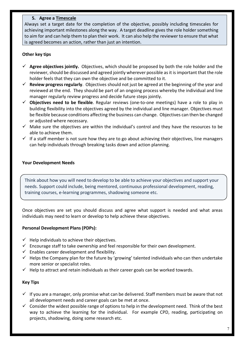# **5. Agree a Timescale**

Always set a target date for the completion of the objective, possibly including timescales for achieving important milestones along the way. A target deadline gives the role holder something to aim for and can help them to plan their work. It can also help the reviewer to ensure that what is agreed becomes an action, rather than just an intention.

# **Other key tips**

- $\checkmark$  Agree objectives jointly. Objectives, which should be proposed by both the role holder and the reviewer, should be discussed and agreed jointly wherever possible as it is important that the role holder feels that they can own the objective and be committed to it.
- $\checkmark$  **Review progress regularly**. Objectives should not just be agreed at the beginning of the year and reviewed at the end. They should be part of an ongoing process whereby the individual and line manager regularly review progress and decide future steps jointly.
- $\checkmark$  **Objectives need to be flexible**. Regular reviews (one-to-one meetings) have a role to play in building flexibility into the objectives agreed by the individual and line manager. Objectives must be flexible because conditions affecting the business can change. Objectives can then be changed or adjusted where necessary.
- $\checkmark$  Make sure the objectives are within the individual's control and they have the resources to be able to achieve them.
- $\checkmark$  If a staff member is not sure how they are to go about achieving their objectives, line managers can help individuals through breaking tasks down and action planning.

### **Your Development Needs**

Think about how you will need to develop to be able to achieve your objectives and support your needs. Support could include, being mentored, continuous professional development, reading, training courses, e-learning programmes, shadowing someone etc.

Once objectives are set you should discuss and agree what support is needed and what areas individuals may need to learn or develop to help achieve these objectives.

# **Personal Development Plans (PDPs):**

- $\checkmark$  Help individuals to achieve their objectives.
- $\checkmark$  Encourage staff to take ownership and feel responsible for their own development.
- $\checkmark$  Enables career development and flexibility.
- $\checkmark$  Helps the Company plan for the future by 'growing' talented individuals who can then undertake more senior or specialist roles.
- $\checkmark$  Help to attract and retain individuals as their career goals can be worked towards.

# **Key Tips**

.

- $\checkmark$  If you are a manager, only promise what can be delivered. Staff members must be aware that not all development needs and career goals can be met at once.
- $\checkmark$  Consider the widest possible range of options to help in the development need. Think of the best way to achieve the learning for the individual. For example CPD, reading, participating on projects, shadowing, doing some research etc.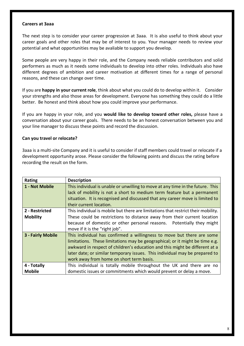#### **Careers at 3aaa**

The next step is to consider your career progression at 3aaa. It is also useful to think about your career goals and other roles that may be of interest to you. Your manager needs to review your potential and what opportunities may be avaliable to support you develop.

Some people are very happy in their role, and the Company needs reliable contributors and solid performers as much as it needs some individuals to develop into other roles. Individuals also have different degrees of ambition and career motivation at different times for a range of personal reasons, and these can change over time.

If you are **happy in your current role**, think about what you could do to develop within it. Consider your strengths and also those areas for development. Everyone has something they could do a little better. Be honest and think about how you could improve your performance.

If you are happy in your role, and you **would like to develop toward other roles,** please have a conversation about your career goals. There needs to be an honest conversation between you and your line manager to discuss these points and record the discussion.

#### **Can you travel or relocate?**

3aaa is a multi-site Company and it is useful to consider if staff members could travel or relocate if a development opportunity arose. Please consider the following points and discuss the rating before recording the result on the form.

| <b>Rating</b>     | <b>Description</b>                                                                |
|-------------------|-----------------------------------------------------------------------------------|
| 1 - Not Mobile    | This individual is unable or unwilling to move at any time in the future. This    |
|                   | lack of mobility is not a short to medium term feature but a permanent            |
|                   | situation. It is recognised and discussed that any career move is limited to      |
|                   | their current location.                                                           |
| 2 - Restricted    | This individual is mobile but there are limitations that restrict their mobility. |
| <b>Mobility</b>   | These could be restrictions to distance away from their current location          |
|                   | because of domestic or other personal reasons. Potentially they might             |
|                   | move if it is the "right job".                                                    |
| 3 - Fairly Mobile | This individual has confirmed a willingness to move but there are some            |
|                   | limitations. These limitations may be geographical; or it might be time e.g.      |
|                   | awkward in respect of children's education and this might be different at a       |
|                   | later date; or similar temporary issues. This individual may be prepared to       |
|                   | work away from home on short term basis.                                          |
| 4 - Totally       | This individual is totally mobile throughout the UK and there are no              |
| <b>Mobile</b>     | domestic issues or commitments which would prevent or delay a move.               |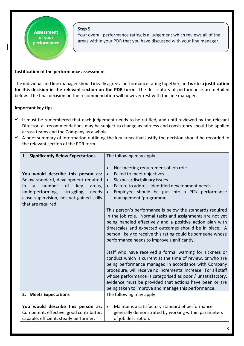Your overall performance rating is a judgement which reviews all of the areas within your PDR that you have discussed with your line manager.

# **Justification of the performance assessment**

**Assessment of your performance**

The individual and line manager should ideally agree a performance rating together, and **write a justification for this decision in the relevant section on the PDR form**. The descriptors of performance are detailed below. The final decision on the recommendation will however rest with the line manager.

#### **Important key tips**

- $\checkmark$  It must be remembered that each judgement needs to be ratified, and until reviewed by the relevant Director, all recommendations may be subject to change as fairness and consistency should be applied across teams and the Company as a whole.
- $\checkmark$  A brief summary of information outlining the key areas that justify the decision should be recorded in the relevant section of the PDR form.

| 1. Significantly Below Expectations                                                                                                                                                                                                  | The following may apply:                                                                                                                                                                                                                                                                                                                                                                                                                                                                                                                                                                                                                                                                                                                                                                                                                                                                                                                                                                                                                                                                                   |  |
|--------------------------------------------------------------------------------------------------------------------------------------------------------------------------------------------------------------------------------------|------------------------------------------------------------------------------------------------------------------------------------------------------------------------------------------------------------------------------------------------------------------------------------------------------------------------------------------------------------------------------------------------------------------------------------------------------------------------------------------------------------------------------------------------------------------------------------------------------------------------------------------------------------------------------------------------------------------------------------------------------------------------------------------------------------------------------------------------------------------------------------------------------------------------------------------------------------------------------------------------------------------------------------------------------------------------------------------------------------|--|
| You would describe this person as:<br>Below standard, development required<br>number<br>of<br>key<br>areas,<br>in<br>a<br>underperforming,<br>struggling,<br>needs<br>close supervision, not yet gained skills<br>that are required. | Not meeting requirement of job role.<br>Failed to meet objectives.<br>$\bullet$<br>Sickness/disciplinary issues.<br>$\bullet$<br>Failure to address identified development needs.<br>$\bullet$<br>Employee should be put into a PIP/ performance<br>management 'programme'.<br>This person's performance is below the standards required<br>in the job role. Normal tasks and assignments are not yet<br>being handled effectively and a positive action plan with<br>timescales and expected outcomes should be in place. A<br>person likely to receive this rating could be someone whose<br>performance needs to improve significantly.<br>Staff who have received a formal warning for sickness or<br>conduct which is current at the time of review, or who are<br>being performance managed in accordance with Company<br>procedure, will receive no incremental increase. For all staff<br>whose performance is categorised as poor / unsatisfactory,<br>evidence must be provided that actions have been or are<br>being taken to improve and manage this performance.<br>The following may apply: |  |
| 2. Meets Expectations                                                                                                                                                                                                                |                                                                                                                                                                                                                                                                                                                                                                                                                                                                                                                                                                                                                                                                                                                                                                                                                                                                                                                                                                                                                                                                                                            |  |
| You would describe this person as:<br>Competent, effective, good contributor,<br>capable, efficient, steady performer.                                                                                                               | Maintains a satisfactory standard of performance<br>$\bullet$<br>generally demonstrated by working within parameters<br>of job description.                                                                                                                                                                                                                                                                                                                                                                                                                                                                                                                                                                                                                                                                                                                                                                                                                                                                                                                                                                |  |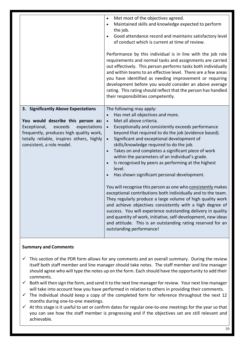|                                                                                                                                                                                                                                           | Met most of the objectives agreed.<br>$\bullet$<br>Maintained skills and knowledge expected to perform<br>$\bullet$<br>the job.<br>Good attendance record and maintains satisfactory level<br>$\bullet$<br>of conduct which is current at time of review.                                                                                                                                                                                                                                                                                                                                                                                                                                                                                                                                                                                                                                                                                                                                                                                                                                     |
|-------------------------------------------------------------------------------------------------------------------------------------------------------------------------------------------------------------------------------------------|-----------------------------------------------------------------------------------------------------------------------------------------------------------------------------------------------------------------------------------------------------------------------------------------------------------------------------------------------------------------------------------------------------------------------------------------------------------------------------------------------------------------------------------------------------------------------------------------------------------------------------------------------------------------------------------------------------------------------------------------------------------------------------------------------------------------------------------------------------------------------------------------------------------------------------------------------------------------------------------------------------------------------------------------------------------------------------------------------|
|                                                                                                                                                                                                                                           | Performance by this individual is in line with the job role<br>requirements and normal tasks and assignments are carried<br>out effectively. This person performs tasks both individually<br>and within teams to an effective level. There are a few areas<br>you have identified as needing improvement or requiring<br>development before you would consider an above average<br>rating. This rating should reflect that the person has handled<br>their responsibilities competently.                                                                                                                                                                                                                                                                                                                                                                                                                                                                                                                                                                                                      |
| 3. Significantly Above Expectations<br>You would describe this person as:<br>exceeds<br>Exceptional,<br>expectations<br>frequently, produces high quality work,<br>totally reliable, inspires others, highly<br>consistent, a role model. | The following may apply:<br>Has met all objectives and more.<br>Met all above criteria.<br>$\bullet$<br>Exceptionally and consistently exceeds performance<br>$\bullet$<br>beyond that required to do the job (evidence based).<br>Significant and exceptional development of<br>$\bullet$<br>skills/knowledge required to do the job.<br>Takes on and completes a significant piece of work<br>$\bullet$<br>within the parameters of an individual's grade.<br>Is recognised by peers as performing at the highest<br>$\bullet$<br>level.<br>Has shown significant personal development.<br>$\bullet$<br>You will recognise this person as one who consistently makes<br>exceptional contributions both individually and to the team.<br>They regularly produce a large volume of high quality work<br>and achieve objectives consistently with a high degree of<br>success. You will experience outstanding delivery in quality<br>and quantity of work, initiative, self-development, new ideas<br>and attitude. This is an outstanding rating reserved for an<br>outstanding performance! |

# **Summary and Comments**

- $\checkmark$  This section of the PDR form allows for any comments and an overall summary. During the review itself both staff member and line manager should take notes. The staff member and line manager should agree who will type the notes up on the form. Each should have the opportunity to add their comments.
- $\checkmark$  Both will then sign the form, and send it to the next line manager for review. Your next line manager will take into account how you have performed in relation to others in providing their comments.
- $\checkmark$  The individual should keep a copy of the completed form for reference throughout the next 12 months during one-to-one meetings.
- $\checkmark$  At this stage is it useful to set or confirm dates for regular one-to-one meetings for the year so that you can see how the staff member is progressing and if the objectives set are still relevant and achievable.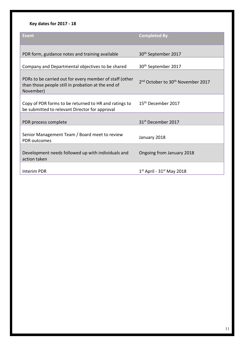# **Key dates for 2017 - 18**

| Event                                                                                                                      | <b>Completed By</b>                                       |
|----------------------------------------------------------------------------------------------------------------------------|-----------------------------------------------------------|
| PDR form, guidance notes and training available                                                                            | 30 <sup>th</sup> September 2017                           |
| Company and Departmental objectives to be shared                                                                           | 30 <sup>th</sup> September 2017                           |
| PDRs to be carried out for every member of staff (other<br>than those people still in probation at the end of<br>November) | 2 <sup>nd</sup> October to 30 <sup>th</sup> November 2017 |
| Copy of PDR forms to be returned to HR and ratings to<br>be submitted to relevant Director for approval                    | 15 <sup>th</sup> December 2017                            |
| PDR process complete                                                                                                       | 31 <sup>st</sup> December 2017                            |
| Senior Management Team / Board meet to review<br><b>PDR</b> outcomes                                                       | January 2018                                              |
| Development needs followed up with individuals and<br>action taken                                                         | Ongoing from January 2018                                 |
| <b>Interim PDR</b>                                                                                                         | $1st$ April - 31 <sup>st</sup> May 2018                   |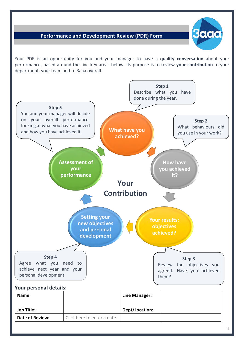# **Performance and Development Review (PDR) Form**



Your PDR is an opportunity for you and your manager to have a **quality conversation** about your performance, based around the five key areas below. Its purpose is to review **your contribution** to your department, your team and to 3aaa overall.



| Name:                  |                             | Line Manager:  |  |
|------------------------|-----------------------------|----------------|--|
|                        |                             |                |  |
| <b>Job Title:</b>      |                             | Dept/Location: |  |
| <b>Date of Review:</b> | Click here to enter a date. |                |  |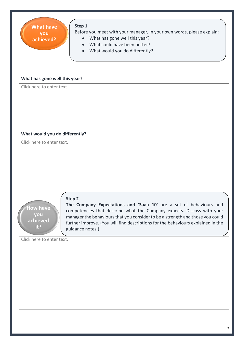| Step 1<br><b>What have</b><br>Before you meet with your manager, in your own words, please explain:<br>you<br>What has gone well this year?<br>$\bullet$<br>achieved?<br>What could have been better?<br>What would you do differently?                                                                                                                                                      |
|----------------------------------------------------------------------------------------------------------------------------------------------------------------------------------------------------------------------------------------------------------------------------------------------------------------------------------------------------------------------------------------------|
| What has gone well this year?                                                                                                                                                                                                                                                                                                                                                                |
| Click here to enter text.                                                                                                                                                                                                                                                                                                                                                                    |
| What would you do differently?                                                                                                                                                                                                                                                                                                                                                               |
| Click here to enter text.                                                                                                                                                                                                                                                                                                                                                                    |
| Step 2<br>The Company Expectations and '3aaa 10' are a set of behaviours and<br><b>How have</b><br>competencies that describe what the Company expects. Discuss with your<br>you<br>manager the behaviours that you consider to be a strength and those you could<br>achieved<br>further improve. (You will find descriptions for the behaviours explained in the<br>it?<br>guidance notes.) |
| Click here to enter text.                                                                                                                                                                                                                                                                                                                                                                    |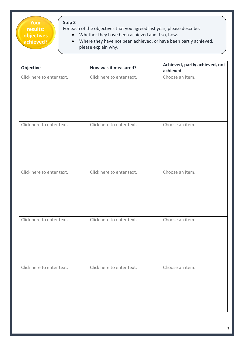**Your results: objectives achieved?**

For each of the objectives that you agreed last year, please describe:

- Whether they have been achieved and if so, how.
- Where they have not been achieved, or have been partly achieved, please explain why.

| Objective                 | How was it measured?      | Achieved, partly achieved, not<br>achieved |  |  |
|---------------------------|---------------------------|--------------------------------------------|--|--|
| Click here to enter text. | Click here to enter text. | Choose an item.                            |  |  |
| Click here to enter text. | Click here to enter text. | Choose an item.                            |  |  |
| Click here to enter text. | Click here to enter text. | Choose an item.                            |  |  |
| Click here to enter text. | Click here to enter text. | Choose an item.                            |  |  |
| Click here to enter text. | Click here to enter text. | Choose an item.                            |  |  |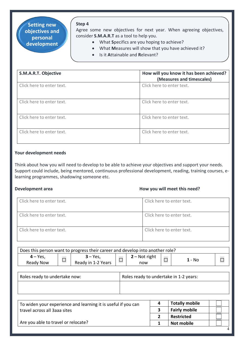**Setting new objectives and personal development**

# Agree some new objectives for next year. When agreeing objectives, consider **S.M.A.R.T** as a tool to help you.

- What **S**pecifics are you hoping to achieve?
- What **M**easures will show that you have achieved it?
- Is it **A**ttainable and **R**elevant?

• How will you **T**rack your progress?

| S.M.A.R.T. Objective      | How will you know it has been achieved?<br>(Measures and timescales) |
|---------------------------|----------------------------------------------------------------------|
| Click here to enter text. | Click here to enter text.                                            |
| Click here to enter text. | Click here to enter text.                                            |
| Click here to enter text. | Click here to enter text.                                            |
| Click here to enter text. | Click here to enter text.                                            |

#### **Your development needs**

Think about how you will need to develop to be able to achieve your objectives and support your needs. Support could include, being mentored, continuous professional development, reading, training courses, elearning programmes, shadowing someone etc.

#### **Development area how you will meet this need?**

| Click here to enter text. | Click here to enter text. |
|---------------------------|---------------------------|
|                           |                           |
| Click here to enter text. | Click here to enter text. |
| Click here to enter text. | Click here to enter text. |

| Does this person want to progress their career and develop into another role? |   |                                 |  |                        |  |      |  |
|-------------------------------------------------------------------------------|---|---------------------------------|--|------------------------|--|------|--|
| $4 - Yes$<br>Ready Now                                                        | ┍ | $3 - Yes$<br>Ready in 1-2 Years |  | $2 - Not right$<br>now |  | - No |  |

| Roles ready to undertake now: | Roles ready to undertake in 1-2 years: |
|-------------------------------|----------------------------------------|
|                               |                                        |

| To widen your experience and learning it is useful if you can | 4 | <b>Totally mobile</b> |  |
|---------------------------------------------------------------|---|-----------------------|--|
| travel across all 3aaa sites                                  |   | <b>Fairly mobile</b>  |  |
|                                                               |   | <b>Restricted</b>     |  |
| Are you able to travel or relocate?                           |   | <b>Not mobile</b>     |  |
|                                                               |   |                       |  |